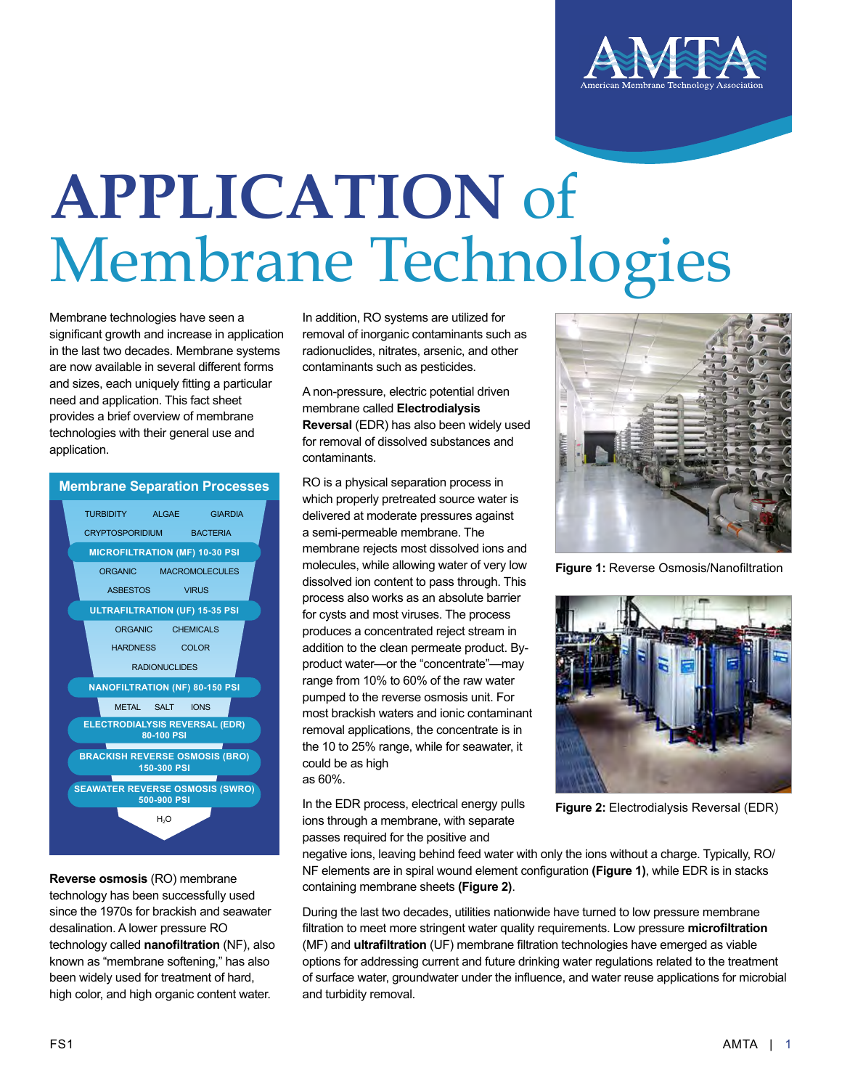

## **APPLICATION** of Membrane Technologies

Membrane technologies have seen a significant growth and increase in application in the last two decades. Membrane systems are now available in several different forms and sizes, each uniquely fitting a particular need and application. This fact sheet provides a brief overview of membrane technologies with their general use and application.

## **Membrane Separation Processes**



**Reverse osmosis** (RO) membrane technology has been successfully used since the 1970s for brackish and seawater desalination. A lower pressure RO technology called **nanofiltration** (NF), also known as "membrane softening," has also been widely used for treatment of hard, high color, and high organic content water.

In addition, RO systems are utilized for removal of inorganic contaminants such as radionuclides, nitrates, arsenic, and other contaminants such as pesticides.

A non-pressure, electric potential driven membrane called **Electrodialysis Reversal** (EDR) has also been widely used for removal of dissolved substances and contaminants.

RO is a physical separation process in which properly pretreated source water is delivered at moderate pressures against a semi-permeable membrane. The membrane rejects most dissolved ions and molecules, while allowing water of very low dissolved ion content to pass through. This process also works as an absolute barrier for cysts and most viruses. The process produces a concentrated reject stream in addition to the clean permeate product. Byproduct water—or the "concentrate"—may range from 10% to 60% of the raw water pumped to the reverse osmosis unit. For most brackish waters and ionic contaminant removal applications, the concentrate is in the 10 to 25% range, while for seawater, it could be as high as 60%.

In the EDR process, electrical energy pulls ions through a membrane, with separate passes required for the positive and



**Figure 1:** Reverse Osmosis/Nanofiltration



**Figure 2:** Electrodialysis Reversal (EDR)

negative ions, leaving behind feed water with only the ions without a charge. Typically, RO/ NF elements are in spiral wound element configuration **(Figure 1)**, while EDR is in stacks containing membrane sheets **(Figure 2)**.

During the last two decades, utilities nationwide have turned to low pressure membrane filtration to meet more stringent water quality requirements. Low pressure **microfiltration** (MF) and **ultrafiltration** (UF) membrane filtration technologies have emerged as viable options for addressing current and future drinking water regulations related to the treatment of surface water, groundwater under the influence, and water reuse applications for microbial and turbidity removal.